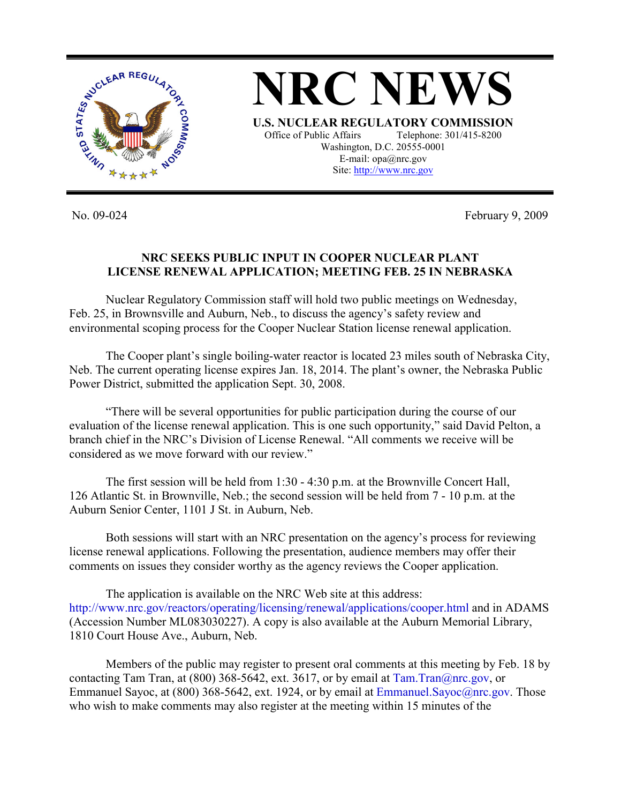

No. 09-024 February 9, 2009

## **NRC SEEKS PUBLIC INPUT IN COOPER NUCLEAR PLANT LICENSE RENEWAL APPLICATION; MEETING FEB. 25 IN NEBRASKA**

 Nuclear Regulatory Commission staff will hold two public meetings on Wednesday, Feb. 25, in Brownsville and Auburn, Neb., to discuss the agency's safety review and environmental scoping process for the Cooper Nuclear Station license renewal application.

 The Cooper plant's single boiling-water reactor is located 23 miles south of Nebraska City, Neb. The current operating license expires Jan. 18, 2014. The plant's owner, the Nebraska Public Power District, submitted the application Sept. 30, 2008.

 "There will be several opportunities for public participation during the course of our evaluation of the license renewal application. This is one such opportunity," said David Pelton, a branch chief in the NRC's Division of License Renewal. "All comments we receive will be considered as we move forward with our review."

 The first session will be held from 1:30 - 4:30 p.m. at the Brownville Concert Hall, 126 Atlantic St. in Brownville, Neb.; the second session will be held from 7 - 10 p.m. at the Auburn Senior Center, 1101 J St. in Auburn, Neb.

 Both sessions will start with an NRC presentation on the agency's process for reviewing license renewal applications. Following the presentation, audience members may offer their comments on issues they consider worthy as the agency reviews the Cooper application.

 The application is available on the NRC Web site at this address: http://www.nrc.gov/reactors/operating/licensing/renewal/applications/cooper.html and in ADAMS (Accession Number ML083030227). A copy is also available at the Auburn Memorial Library, 1810 Court House Ave., Auburn, Neb.

 Members of the public may register to present oral comments at this meeting by Feb. 18 by contacting Tam Tran, at (800) 368-5642, ext. 3617, or by email at  $\text{Tam}$ . Tran $\textcircled{a}$ nrc.gov, or Emmanuel Sayoc, at (800) 368-5642, ext. 1924, or by email at Emmanuel.Sayoc@nrc.gov. Those who wish to make comments may also register at the meeting within 15 minutes of the